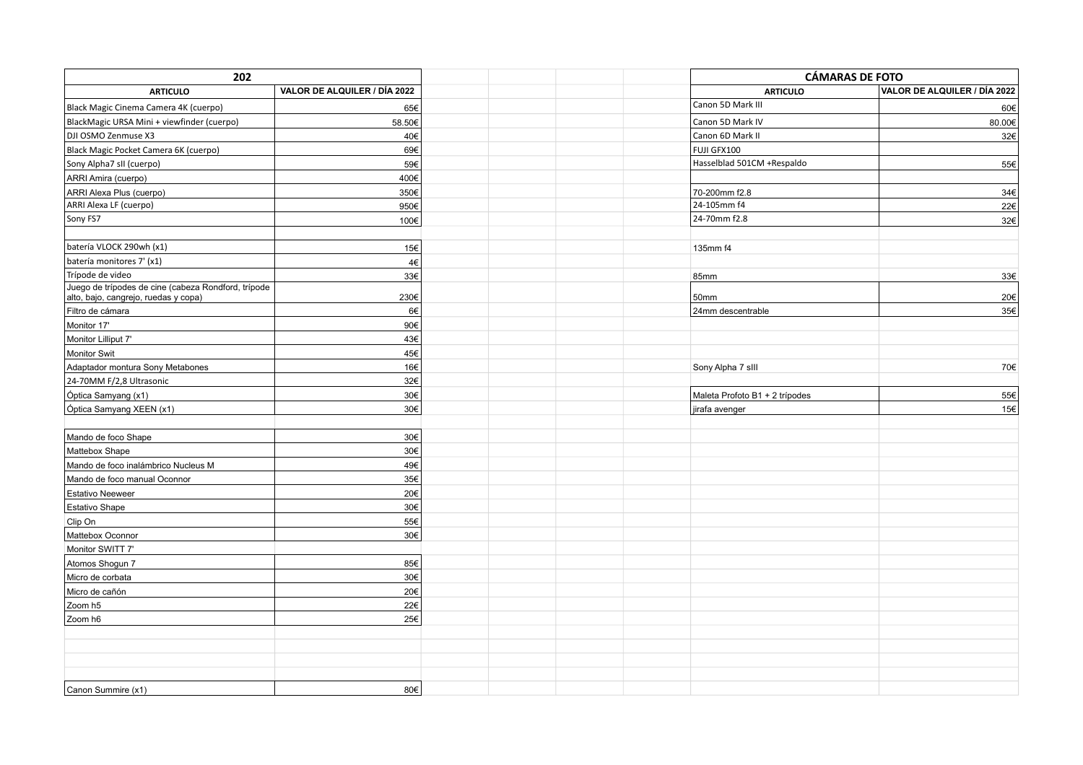| 202                                                                                         |                              |  | <b>CÁMARAS DE FOTO</b>         |                              |
|---------------------------------------------------------------------------------------------|------------------------------|--|--------------------------------|------------------------------|
| <b>ARTICULO</b>                                                                             | VALOR DE ALQUILER / DÍA 2022 |  | <b>ARTICULO</b>                | VALOR DE ALQUILER / DÍA 2022 |
| Black Magic Cinema Camera 4K (cuerpo)                                                       | 65€                          |  | Canon 5D Mark III              | 60€                          |
| BlackMagic URSA Mini + viewfinder (cuerpo)                                                  | 58.50€                       |  | Canon 5D Mark IV               | 80.00€                       |
| DJI OSMO Zenmuse X3                                                                         | 40€                          |  | Canon 6D Mark II               | 32€                          |
| Black Magic Pocket Camera 6K (cuerpo)                                                       | 69€                          |  | FUJI GFX100                    |                              |
| Sony Alpha7 sII (cuerpo)                                                                    | 59€                          |  | Hasselblad 501CM +Respaldo     | 55€                          |
| ARRI Amira (cuerpo)                                                                         | 400€                         |  |                                |                              |
| ARRI Alexa Plus (cuerpo)                                                                    | 350€                         |  | 70-200mm f2.8                  | 34€                          |
| ARRI Alexa LF (cuerpo)                                                                      | 950€                         |  | 24-105mm f4                    | 22€                          |
| Sony FS7                                                                                    | 100€                         |  | 24-70mm f2.8                   | 32€                          |
|                                                                                             |                              |  |                                |                              |
| batería VLOCK 290wh (x1)                                                                    | 15€                          |  | 135mm f4                       |                              |
| batería monitores 7' (x1)                                                                   | 4€                           |  |                                |                              |
| Trípode de video                                                                            | 33€                          |  | 85mm                           | 33€                          |
| Juego de trípodes de cine (cabeza Rondford, trípode<br>alto, bajo, cangrejo, ruedas y copa) | 230€                         |  | 50mm                           | $20 \in$                     |
| Filtro de cámara                                                                            | 6€                           |  | 24mm descentrable              | 35€                          |
| Monitor 17'                                                                                 | 90€                          |  |                                |                              |
| Monitor Lilliput 7'                                                                         | 43€                          |  |                                |                              |
| Monitor Swit                                                                                | 45€                          |  |                                |                              |
| Adaptador montura Sony Metabones                                                            | 16€                          |  | Sony Alpha 7 slll              | 70€                          |
| 24-70MM F/2,8 Ultrasonic                                                                    | 32€                          |  |                                |                              |
| Óptica Samyang (x1)                                                                         | 30€                          |  | Maleta Profoto B1 + 2 trípodes | $55 \in$                     |
| Óptica Samyang XEEN (x1)                                                                    | 30€                          |  | jirafa avenger                 | 15€                          |
|                                                                                             |                              |  |                                |                              |
| Mando de foco Shape                                                                         | 30€                          |  |                                |                              |
| Mattebox Shape                                                                              | 30€                          |  |                                |                              |
| Mando de foco inalámbrico Nucleus M                                                         | 49€                          |  |                                |                              |
| Mando de foco manual Oconnor                                                                | 35€                          |  |                                |                              |
| <b>Estativo Neeweer</b>                                                                     | 20€                          |  |                                |                              |
| Estativo Shape                                                                              | 30€                          |  |                                |                              |
| Clip On                                                                                     | 55€                          |  |                                |                              |
| Mattebox Oconnor                                                                            | 30€                          |  |                                |                              |
| Monitor SWITT 7'                                                                            |                              |  |                                |                              |
| Atomos Shogun 7                                                                             | 85€                          |  |                                |                              |
| Micro de corbata                                                                            | 30€                          |  |                                |                              |
| Micro de cañón                                                                              | 20€                          |  |                                |                              |
| Zoom h5                                                                                     | 22€                          |  |                                |                              |
| Zoom h6                                                                                     | 25€                          |  |                                |                              |
|                                                                                             |                              |  |                                |                              |
|                                                                                             |                              |  |                                |                              |
|                                                                                             |                              |  |                                |                              |
|                                                                                             |                              |  |                                |                              |
| Canon Summire (x1)                                                                          | 80€                          |  |                                |                              |